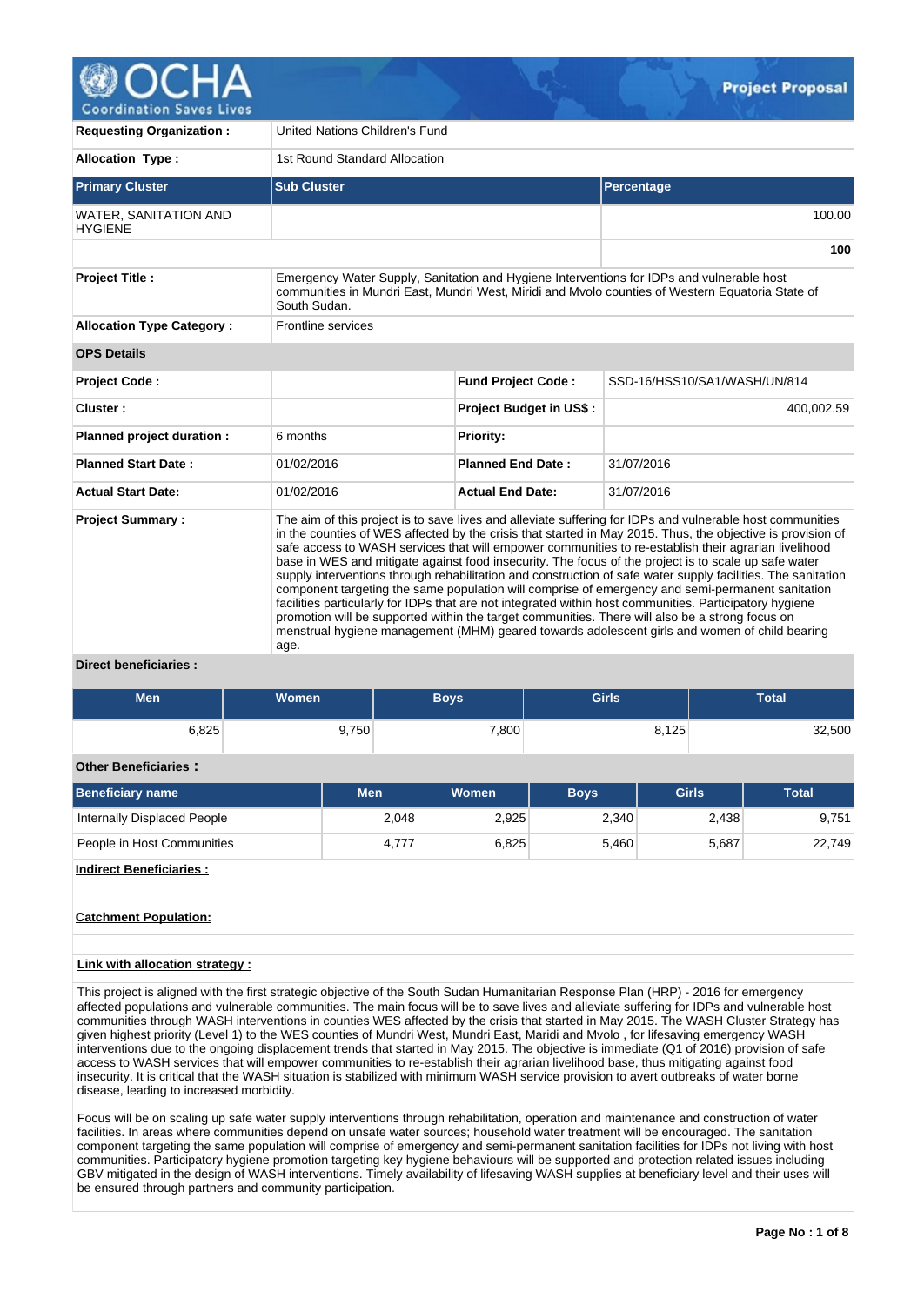

| <b>Requesting Organization:</b>                                                                                                                                                                                                        | United Nations Children's Fund                                                                                                                                                                                                                                                                                                                                                                                                                                                                                                                                                                                                                                                                                                                                                                                                                                                                                                                                                      |                                |                              |  |  |  |  |  |  |
|----------------------------------------------------------------------------------------------------------------------------------------------------------------------------------------------------------------------------------------|-------------------------------------------------------------------------------------------------------------------------------------------------------------------------------------------------------------------------------------------------------------------------------------------------------------------------------------------------------------------------------------------------------------------------------------------------------------------------------------------------------------------------------------------------------------------------------------------------------------------------------------------------------------------------------------------------------------------------------------------------------------------------------------------------------------------------------------------------------------------------------------------------------------------------------------------------------------------------------------|--------------------------------|------------------------------|--|--|--|--|--|--|
| <b>Allocation Type:</b>                                                                                                                                                                                                                | 1st Round Standard Allocation                                                                                                                                                                                                                                                                                                                                                                                                                                                                                                                                                                                                                                                                                                                                                                                                                                                                                                                                                       |                                |                              |  |  |  |  |  |  |
| <b>Primary Cluster</b>                                                                                                                                                                                                                 | <b>Sub Cluster</b>                                                                                                                                                                                                                                                                                                                                                                                                                                                                                                                                                                                                                                                                                                                                                                                                                                                                                                                                                                  |                                | Percentage                   |  |  |  |  |  |  |
| <b>WATER, SANITATION AND</b><br><b>HYGIENE</b>                                                                                                                                                                                         |                                                                                                                                                                                                                                                                                                                                                                                                                                                                                                                                                                                                                                                                                                                                                                                                                                                                                                                                                                                     |                                | 100.00                       |  |  |  |  |  |  |
|                                                                                                                                                                                                                                        |                                                                                                                                                                                                                                                                                                                                                                                                                                                                                                                                                                                                                                                                                                                                                                                                                                                                                                                                                                                     |                                | 100                          |  |  |  |  |  |  |
| <b>Project Title:</b><br>Emergency Water Supply, Sanitation and Hygiene Interventions for IDPs and vulnerable host<br>communities in Mundri East, Mundri West, Miridi and Myolo counties of Western Equatoria State of<br>South Sudan. |                                                                                                                                                                                                                                                                                                                                                                                                                                                                                                                                                                                                                                                                                                                                                                                                                                                                                                                                                                                     |                                |                              |  |  |  |  |  |  |
| <b>Allocation Type Category:</b>                                                                                                                                                                                                       | <b>Frontline services</b>                                                                                                                                                                                                                                                                                                                                                                                                                                                                                                                                                                                                                                                                                                                                                                                                                                                                                                                                                           |                                |                              |  |  |  |  |  |  |
| <b>OPS Details</b>                                                                                                                                                                                                                     |                                                                                                                                                                                                                                                                                                                                                                                                                                                                                                                                                                                                                                                                                                                                                                                                                                                                                                                                                                                     |                                |                              |  |  |  |  |  |  |
| <b>Project Code:</b>                                                                                                                                                                                                                   |                                                                                                                                                                                                                                                                                                                                                                                                                                                                                                                                                                                                                                                                                                                                                                                                                                                                                                                                                                                     | <b>Fund Project Code:</b>      | SSD-16/HSS10/SA1/WASH/UN/814 |  |  |  |  |  |  |
| Cluster:                                                                                                                                                                                                                               |                                                                                                                                                                                                                                                                                                                                                                                                                                                                                                                                                                                                                                                                                                                                                                                                                                                                                                                                                                                     | <b>Project Budget in US\$:</b> | 400,002.59                   |  |  |  |  |  |  |
| Planned project duration :                                                                                                                                                                                                             | 6 months                                                                                                                                                                                                                                                                                                                                                                                                                                                                                                                                                                                                                                                                                                                                                                                                                                                                                                                                                                            | <b>Priority:</b>               |                              |  |  |  |  |  |  |
| <b>Planned Start Date:</b>                                                                                                                                                                                                             | 01/02/2016                                                                                                                                                                                                                                                                                                                                                                                                                                                                                                                                                                                                                                                                                                                                                                                                                                                                                                                                                                          | <b>Planned End Date:</b>       | 31/07/2016                   |  |  |  |  |  |  |
| <b>Actual Start Date:</b>                                                                                                                                                                                                              | 01/02/2016                                                                                                                                                                                                                                                                                                                                                                                                                                                                                                                                                                                                                                                                                                                                                                                                                                                                                                                                                                          | <b>Actual End Date:</b>        | 31/07/2016                   |  |  |  |  |  |  |
| <b>Project Summary:</b><br>Direct heneficiaries                                                                                                                                                                                        | The aim of this project is to save lives and alleviate suffering for IDPs and vulnerable host communities<br>in the counties of WES affected by the crisis that started in May 2015. Thus, the objective is provision of<br>safe access to WASH services that will empower communities to re-establish their agrarian livelihood<br>base in WES and mitigate against food insecurity. The focus of the project is to scale up safe water<br>supply interventions through rehabilitation and construction of safe water supply facilities. The sanitation<br>component targeting the same population will comprise of emergency and semi-permanent sanitation<br>facilities particularly for IDPs that are not integrated within host communities. Participatory hygiene<br>promotion will be supported within the target communities. There will also be a strong focus on<br>menstrual hygiene management (MHM) geared towards adolescent girls and women of child bearing<br>age. |                                |                              |  |  |  |  |  |  |

## **Direct beneficiaries :**

| <b>Men</b>                     | <b>Women</b> |            |       | <b>Boys</b>  | <b>Girls</b> |              | <b>Total</b> |              |  |  |
|--------------------------------|--------------|------------|-------|--------------|--------------|--------------|--------------|--------------|--|--|
| 6,825                          |              | 9,750      |       | 7,800        |              | 8,125        | 32,500       |              |  |  |
| <b>Other Beneficiaries:</b>    |              |            |       |              |              |              |              |              |  |  |
| <b>Beneficiary name</b>        |              | <b>Men</b> |       | <b>Women</b> | <b>Boys</b>  | <b>Girls</b> |              | <b>Total</b> |  |  |
| Internally Displaced People    |              |            | 2,048 | 2,925        | 2,340        |              | 2,438        | 9,751        |  |  |
| People in Host Communities     |              |            | 4,777 | 6,825        | 5,460        |              | 5,687        | 22,749       |  |  |
| <b>Indirect Beneficiaries:</b> |              |            |       |              |              |              |              |              |  |  |

## **Catchment Population:**

## **Link with allocation strategy :**

This project is aligned with the first strategic objective of the South Sudan Humanitarian Response Plan (HRP) - 2016 for emergency affected populations and vulnerable communities. The main focus will be to save lives and alleviate suffering for IDPs and vulnerable host communities through WASH interventions in counties WES affected by the crisis that started in May 2015. The WASH Cluster Strategy has given highest priority (Level 1) to the WES counties of Mundri West, Mundri East, Maridi and Mvolo , for lifesaving emergency WASH interventions due to the ongoing displacement trends that started in May 2015. The objective is immediate (Q1 of 2016) provision of safe access to WASH services that will empower communities to re-establish their agrarian livelihood base, thus mitigating against food insecurity. It is critical that the WASH situation is stabilized with minimum WASH service provision to avert outbreaks of water borne disease, leading to increased morbidity.

Focus will be on scaling up safe water supply interventions through rehabilitation, operation and maintenance and construction of water facilities. In areas where communities depend on unsafe water sources; household water treatment will be encouraged. The sanitation component targeting the same population will comprise of emergency and semi-permanent sanitation facilities for IDPs not living with host communities. Participatory hygiene promotion targeting key hygiene behaviours will be supported and protection related issues including GBV mitigated in the design of WASH interventions. Timely availability of lifesaving WASH supplies at beneficiary level and their uses will be ensured through partners and community participation.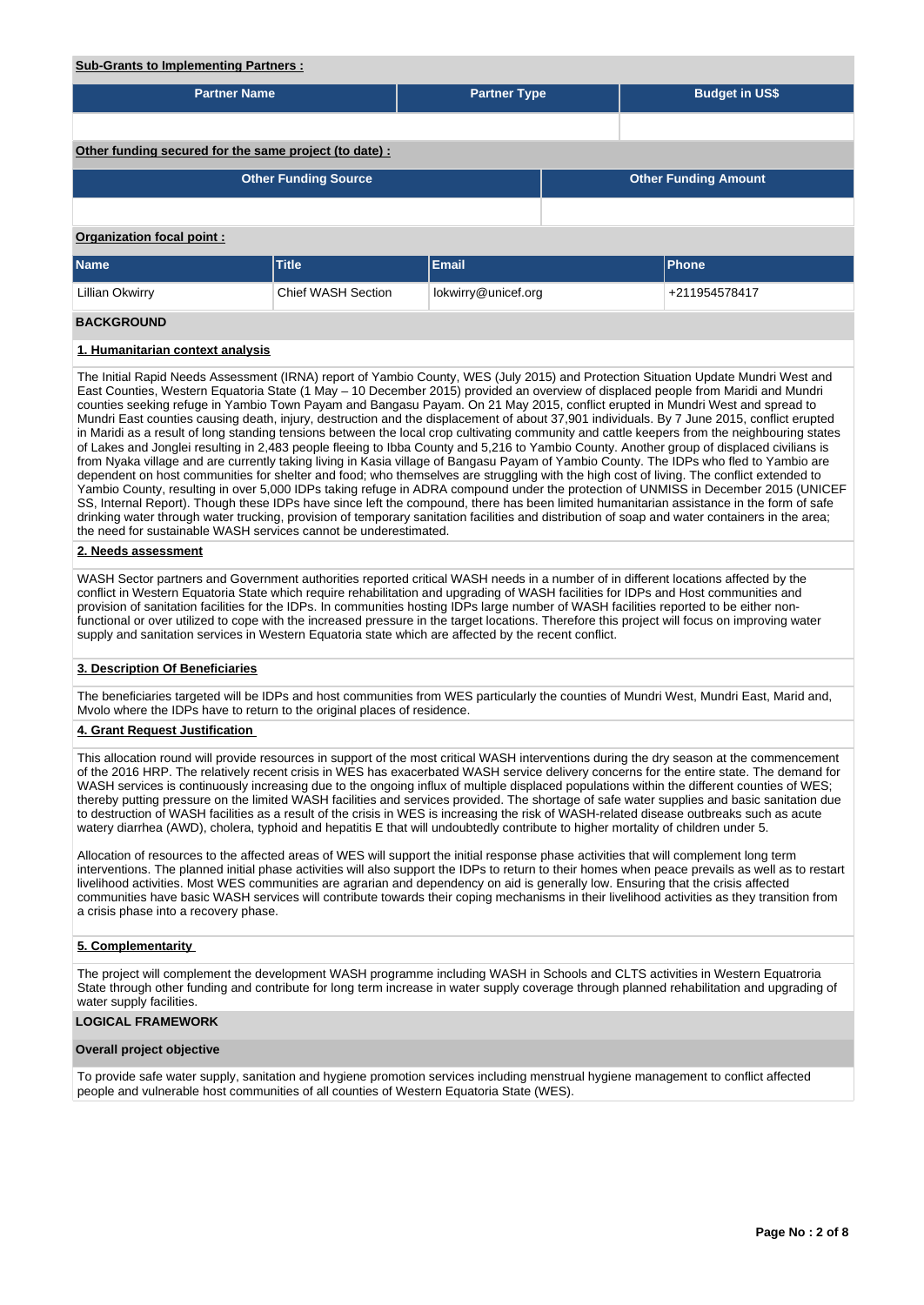## **Sub-Grants to Implementing Partners :**

| <b>Partner Name</b>                                                                                                                    |                             | <b>Partner Type</b> |  | <b>Budget in US\$</b>       |  |  |  |  |  |  |
|----------------------------------------------------------------------------------------------------------------------------------------|-----------------------------|---------------------|--|-----------------------------|--|--|--|--|--|--|
|                                                                                                                                        |                             |                     |  |                             |  |  |  |  |  |  |
| Other funding secured for the same project (to date) :                                                                                 |                             |                     |  |                             |  |  |  |  |  |  |
|                                                                                                                                        | <b>Other Funding Source</b> |                     |  | <b>Other Funding Amount</b> |  |  |  |  |  |  |
|                                                                                                                                        |                             |                     |  |                             |  |  |  |  |  |  |
| <b>Organization focal point:</b>                                                                                                       |                             |                     |  |                             |  |  |  |  |  |  |
| <b>Name</b>                                                                                                                            | <b>Title</b>                | Email               |  | Phone                       |  |  |  |  |  |  |
| Lillian Okwirry                                                                                                                        | <b>Chief WASH Section</b>   | lokwirry@unicef.org |  | +211954578417               |  |  |  |  |  |  |
| <b>BACKGROUND</b>                                                                                                                      |                             |                     |  |                             |  |  |  |  |  |  |
| 1. Humanitarian context analysis                                                                                                       |                             |                     |  |                             |  |  |  |  |  |  |
| The Little Death Meeting Accessory (IDMA) accepted Versity Occupa MITO (Take OAC) and Davisation Other Capital Hadrie March 12 Meeting |                             |                     |  |                             |  |  |  |  |  |  |

The Initial Rapid Needs Assessment (IRNA) report of Yambio County, WES (July 2015) and Protection Situation Update Mundri West and East Counties, Western Equatoria State (1 May – 10 December 2015) provided an overview of displaced people from Maridi and Mundri counties seeking refuge in Yambio Town Payam and Bangasu Payam. On 21 May 2015, conflict erupted in Mundri West and spread to Mundri East counties causing death, injury, destruction and the displacement of about 37,901 individuals. By 7 June 2015, conflict erupted in Maridi as a result of long standing tensions between the local crop cultivating community and cattle keepers from the neighbouring states of Lakes and Jonglei resulting in 2,483 people fleeing to Ibba County and 5,216 to Yambio County. Another group of displaced civilians is from Nyaka village and are currently taking living in Kasia village of Bangasu Payam of Yambio County. The IDPs who fled to Yambio are dependent on host communities for shelter and food; who themselves are struggling with the high cost of living. The conflict extended to Yambio County, resulting in over 5,000 IDPs taking refuge in ADRA compound under the protection of UNMISS in December 2015 (UNICEF SS, Internal Report). Though these IDPs have since left the compound, there has been limited humanitarian assistance in the form of safe drinking water through water trucking, provision of temporary sanitation facilities and distribution of soap and water containers in the area; the need for sustainable WASH services cannot be underestimated.

### **2. Needs assessment**

WASH Sector partners and Government authorities reported critical WASH needs in a number of in different locations affected by the conflict in Western Equatoria State which require rehabilitation and upgrading of WASH facilities for IDPs and Host communities and provision of sanitation facilities for the IDPs. In communities hosting IDPs large number of WASH facilities reported to be either nonfunctional or over utilized to cope with the increased pressure in the target locations. Therefore this project will focus on improving water supply and sanitation services in Western Equatoria state which are affected by the recent conflict.

#### **3. Description Of Beneficiaries**

The beneficiaries targeted will be IDPs and host communities from WES particularly the counties of Mundri West, Mundri East, Marid and, Mvolo where the IDPs have to return to the original places of residence.

#### **4. Grant Request Justification**

This allocation round will provide resources in support of the most critical WASH interventions during the dry season at the commencement of the 2016 HRP. The relatively recent crisis in WES has exacerbated WASH service delivery concerns for the entire state. The demand for WASH services is continuously increasing due to the ongoing influx of multiple displaced populations within the different counties of WES; thereby putting pressure on the limited WASH facilities and services provided. The shortage of safe water supplies and basic sanitation due to destruction of WASH facilities as a result of the crisis in WES is increasing the risk of WASH-related disease outbreaks such as acute watery diarrhea (AWD), cholera, typhoid and hepatitis E that will undoubtedly contribute to higher mortality of children under 5.

Allocation of resources to the affected areas of WES will support the initial response phase activities that will complement long term interventions. The planned initial phase activities will also support the IDPs to return to their homes when peace prevails as well as to restart livelihood activities. Most WES communities are agrarian and dependency on aid is generally low. Ensuring that the crisis affected communities have basic WASH services will contribute towards their coping mechanisms in their livelihood activities as they transition from a crisis phase into a recovery phase.

#### **5. Complementarity**

The project will complement the development WASH programme including WASH in Schools and CLTS activities in Western Equatroria State through other funding and contribute for long term increase in water supply coverage through planned rehabilitation and upgrading of water supply facilities.

#### **LOGICAL FRAMEWORK**

#### **Overall project objective**

To provide safe water supply, sanitation and hygiene promotion services including menstrual hygiene management to conflict affected people and vulnerable host communities of all counties of Western Equatoria State (WES).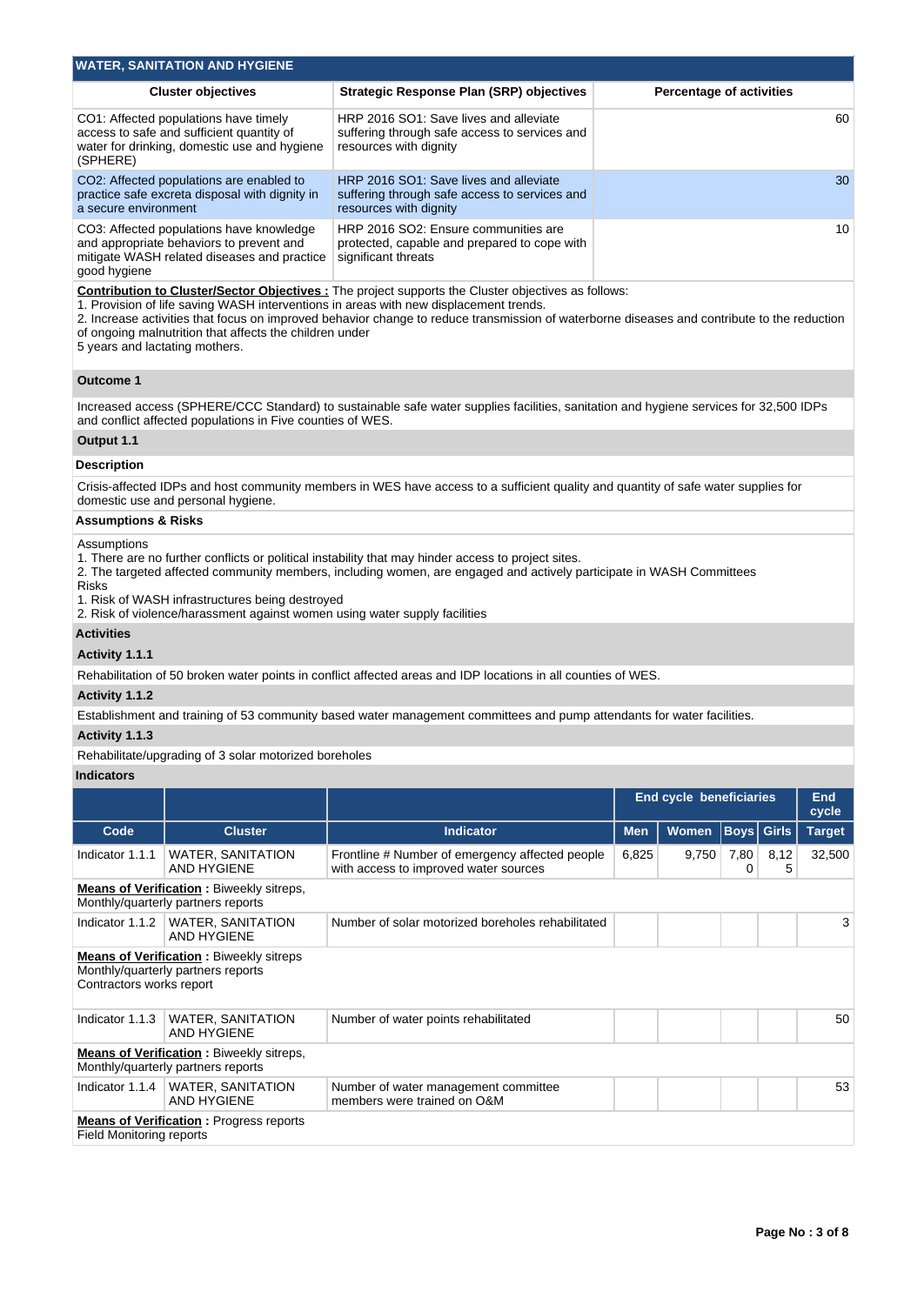|                                                                                                                                                                                                                                                                                                                                                                                                                                          | <b>WATER, SANITATION AND HYGIENE</b>                                                                                                |                                                                                                                                       |            |                                 |             |              |                     |  |  |  |  |
|------------------------------------------------------------------------------------------------------------------------------------------------------------------------------------------------------------------------------------------------------------------------------------------------------------------------------------------------------------------------------------------------------------------------------------------|-------------------------------------------------------------------------------------------------------------------------------------|---------------------------------------------------------------------------------------------------------------------------------------|------------|---------------------------------|-------------|--------------|---------------------|--|--|--|--|
|                                                                                                                                                                                                                                                                                                                                                                                                                                          | <b>Cluster objectives</b>                                                                                                           | <b>Strategic Response Plan (SRP) objectives</b>                                                                                       |            | <b>Percentage of activities</b> |             |              |                     |  |  |  |  |
| (SPHERE)                                                                                                                                                                                                                                                                                                                                                                                                                                 | CO1: Affected populations have timely<br>access to safe and sufficient quantity of<br>water for drinking, domestic use and hygiene  | HRP 2016 SO1: Save lives and alleviate<br>suffering through safe access to services and<br>resources with dignity                     |            |                                 |             |              |                     |  |  |  |  |
| a secure environment                                                                                                                                                                                                                                                                                                                                                                                                                     | CO2: Affected populations are enabled to<br>practice safe excreta disposal with dignity in                                          | HRP 2016 SO1: Save lives and alleviate<br>suffering through safe access to services and<br>resources with dignity                     | 30         |                                 |             |              |                     |  |  |  |  |
| good hygiene                                                                                                                                                                                                                                                                                                                                                                                                                             | CO3: Affected populations have knowledge<br>and appropriate behaviors to prevent and<br>mitigate WASH related diseases and practice | HRP 2016 SO2: Ensure communities are<br>protected, capable and prepared to cope with<br>significant threats                           | 10         |                                 |             |              |                     |  |  |  |  |
| Contribution to Cluster/Sector Objectives : The project supports the Cluster objectives as follows:<br>1. Provision of life saving WASH interventions in areas with new displacement trends.<br>2. Increase activities that focus on improved behavior change to reduce transmission of waterborne diseases and contribute to the reduction<br>of ongoing malnutrition that affects the children under<br>5 years and lactating mothers. |                                                                                                                                     |                                                                                                                                       |            |                                 |             |              |                     |  |  |  |  |
| <b>Outcome 1</b>                                                                                                                                                                                                                                                                                                                                                                                                                         |                                                                                                                                     |                                                                                                                                       |            |                                 |             |              |                     |  |  |  |  |
|                                                                                                                                                                                                                                                                                                                                                                                                                                          | and conflict affected populations in Five counties of WES.                                                                          | Increased access (SPHERE/CCC Standard) to sustainable safe water supplies facilities, sanitation and hygiene services for 32,500 IDPs |            |                                 |             |              |                     |  |  |  |  |
| Output 1.1                                                                                                                                                                                                                                                                                                                                                                                                                               |                                                                                                                                     |                                                                                                                                       |            |                                 |             |              |                     |  |  |  |  |
| <b>Description</b>                                                                                                                                                                                                                                                                                                                                                                                                                       |                                                                                                                                     |                                                                                                                                       |            |                                 |             |              |                     |  |  |  |  |
|                                                                                                                                                                                                                                                                                                                                                                                                                                          | domestic use and personal hygiene.                                                                                                  | Crisis-affected IDPs and host community members in WES have access to a sufficient quality and quantity of safe water supplies for    |            |                                 |             |              |                     |  |  |  |  |
| <b>Assumptions &amp; Risks</b>                                                                                                                                                                                                                                                                                                                                                                                                           |                                                                                                                                     |                                                                                                                                       |            |                                 |             |              |                     |  |  |  |  |
| Assumptions<br>1. There are no further conflicts or political instability that may hinder access to project sites.<br>2. The targeted affected community members, including women, are engaged and actively participate in WASH Committees<br><b>Risks</b><br>1. Risk of WASH infrastructures being destroyed<br>2. Risk of violence/harassment against women using water supply facilities                                              |                                                                                                                                     |                                                                                                                                       |            |                                 |             |              |                     |  |  |  |  |
| <b>Activities</b>                                                                                                                                                                                                                                                                                                                                                                                                                        |                                                                                                                                     |                                                                                                                                       |            |                                 |             |              |                     |  |  |  |  |
| Activity 1.1.1                                                                                                                                                                                                                                                                                                                                                                                                                           |                                                                                                                                     |                                                                                                                                       |            |                                 |             |              |                     |  |  |  |  |
|                                                                                                                                                                                                                                                                                                                                                                                                                                          |                                                                                                                                     | Rehabilitation of 50 broken water points in conflict affected areas and IDP locations in all counties of WES.                         |            |                                 |             |              |                     |  |  |  |  |
| Activity 1.1.2                                                                                                                                                                                                                                                                                                                                                                                                                           |                                                                                                                                     | Establishment and training of 53 community based water management committees and pump attendants for water facilities.                |            |                                 |             |              |                     |  |  |  |  |
| Activity 1.1.3                                                                                                                                                                                                                                                                                                                                                                                                                           |                                                                                                                                     |                                                                                                                                       |            |                                 |             |              |                     |  |  |  |  |
|                                                                                                                                                                                                                                                                                                                                                                                                                                          | Rehabilitate/upgrading of 3 solar motorized boreholes                                                                               |                                                                                                                                       |            |                                 |             |              |                     |  |  |  |  |
| <b>Indicators</b>                                                                                                                                                                                                                                                                                                                                                                                                                        |                                                                                                                                     |                                                                                                                                       |            |                                 |             |              |                     |  |  |  |  |
|                                                                                                                                                                                                                                                                                                                                                                                                                                          |                                                                                                                                     |                                                                                                                                       |            | End cycle beneficiaries         |             |              | <b>End</b><br>cycle |  |  |  |  |
| Code                                                                                                                                                                                                                                                                                                                                                                                                                                     | <b>Cluster</b>                                                                                                                      | <b>Indicator</b>                                                                                                                      | <b>Men</b> | Women                           | <b>Boys</b> | <b>Girls</b> | <b>Target</b>       |  |  |  |  |
| Indicator 1.1.1                                                                                                                                                                                                                                                                                                                                                                                                                          | <b>WATER, SANITATION</b><br><b>AND HYGIENE</b>                                                                                      | Frontline # Number of emergency affected people<br>with access to improved water sources                                              | 6,825      | 9,750                           | 7,80<br>0   | 8,12<br>5    | 32,500              |  |  |  |  |
|                                                                                                                                                                                                                                                                                                                                                                                                                                          | Means of Verification : Biweekly sitreps,<br>Monthly/quarterly partners reports                                                     |                                                                                                                                       |            |                                 |             |              |                     |  |  |  |  |
| Indicator 1.1.2                                                                                                                                                                                                                                                                                                                                                                                                                          | WATER, SANITATION<br><b>AND HYGIENE</b>                                                                                             | Number of solar motorized boreholes rehabilitated                                                                                     |            |                                 |             |              | 3                   |  |  |  |  |
| Contractors works report                                                                                                                                                                                                                                                                                                                                                                                                                 | <b>Means of Verification:</b> Biweekly sitreps<br>Monthly/quarterly partners reports                                                |                                                                                                                                       |            |                                 |             |              |                     |  |  |  |  |
| Indicator 1.1.3                                                                                                                                                                                                                                                                                                                                                                                                                          | <b>WATER, SANITATION</b><br><b>AND HYGIENE</b>                                                                                      | Number of water points rehabilitated                                                                                                  |            |                                 |             |              | 50                  |  |  |  |  |
|                                                                                                                                                                                                                                                                                                                                                                                                                                          | <b>Means of Verification:</b> Biweekly sitreps,<br>Monthly/quarterly partners reports                                               |                                                                                                                                       |            |                                 |             |              |                     |  |  |  |  |

Number of water management committee

members were trained on O&M

**Means of Verification :** Progress reports Field Monitoring reports

Indicator 1.1.4 | WATER, SANITATION AND HYGIENE

53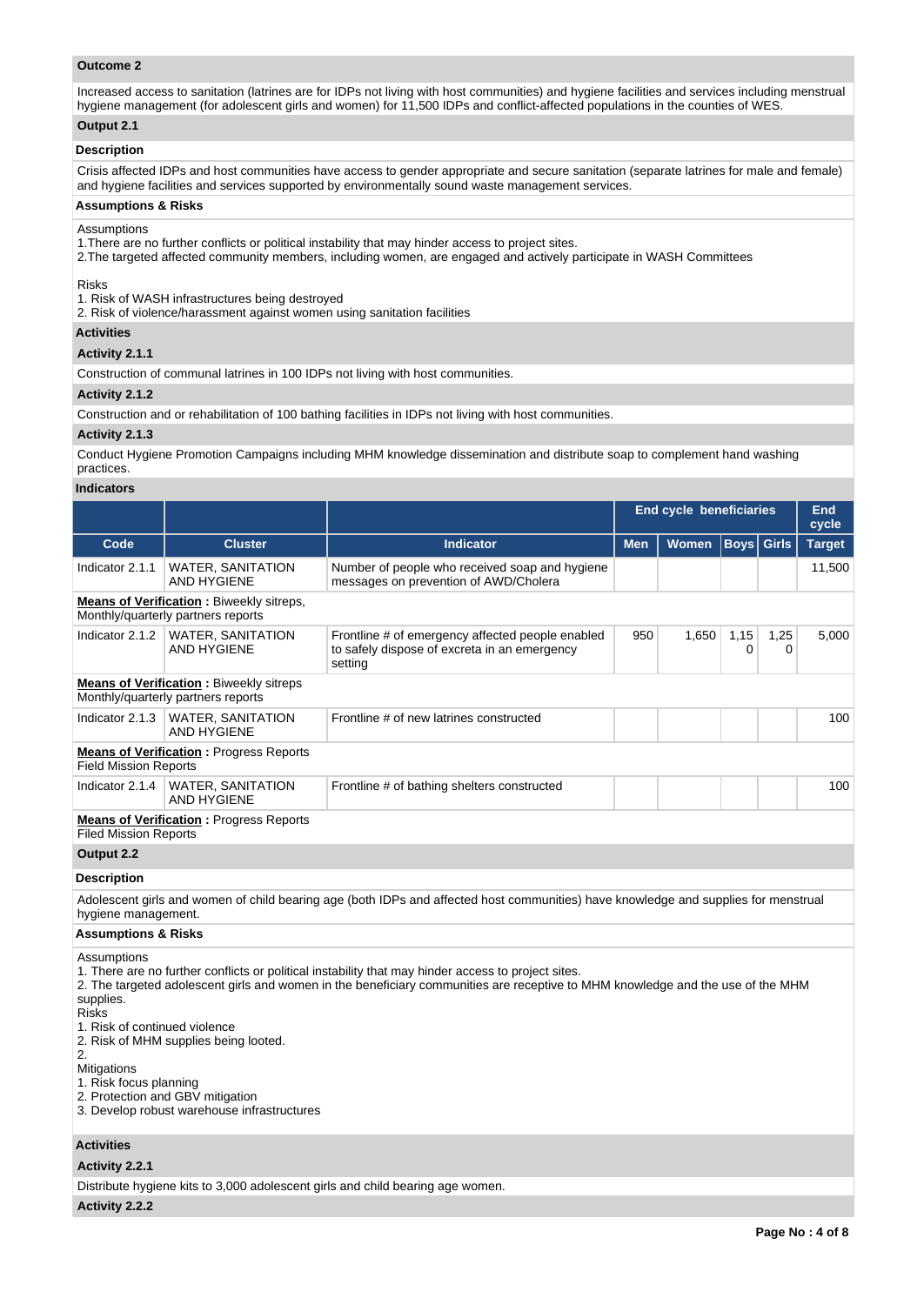## **Outcome 2**

Increased access to sanitation (latrines are for IDPs not living with host communities) and hygiene facilities and services including menstrual hygiene management (for adolescent girls and women) for 11,500 IDPs and conflict-affected populations in the counties of WES.

# **Output 2.1**

## **Description**

Crisis affected IDPs and host communities have access to gender appropriate and secure sanitation (separate latrines for male and female) and hygiene facilities and services supported by environmentally sound waste management services.

### **Assumptions & Risks**

### Assumptions

1.There are no further conflicts or political instability that may hinder access to project sites.

2.The targeted affected community members, including women, are engaged and actively participate in WASH Committees

## Risks

1. Risk of WASH infrastructures being destroyed

2. Risk of violence/harassment against women using sanitation facilities

## **Activities**

**Activity 2.1.1** 

Construction of communal latrines in 100 IDPs not living with host communities.

## **Activity 2.1.2**

Construction and or rehabilitation of 100 bathing facilities in IDPs not living with host communities.

## **Activity 2.1.3**

Conduct Hygiene Promotion Campaigns including MHM knowledge dissemination and distribute soap to complement hand washing practices.

## **Indicators**

|                                                                           |                                                                                      |                                                                                                                                                                                                                                        |            | <b>End cycle beneficiaries</b> |             |              |               |  |
|---------------------------------------------------------------------------|--------------------------------------------------------------------------------------|----------------------------------------------------------------------------------------------------------------------------------------------------------------------------------------------------------------------------------------|------------|--------------------------------|-------------|--------------|---------------|--|
| Code                                                                      | <b>Cluster</b>                                                                       | <b>Indicator</b>                                                                                                                                                                                                                       | <b>Men</b> | <b>Women</b>                   | <b>Boys</b> | <b>Girls</b> | <b>Target</b> |  |
| Indicator 2.1.1                                                           | <b>WATER, SANITATION</b><br><b>AND HYGIENE</b>                                       | Number of people who received soap and hygiene<br>messages on prevention of AWD/Cholera                                                                                                                                                |            |                                |             |              | 11,500        |  |
|                                                                           | Means of Verification: Biweekly sitreps,<br>Monthly/quarterly partners reports       |                                                                                                                                                                                                                                        |            |                                |             |              |               |  |
| Indicator 2.1.2                                                           | <b>WATER, SANITATION</b><br><b>AND HYGIENE</b>                                       | Frontline # of emergency affected people enabled<br>to safely dispose of excreta in an emergency<br>setting                                                                                                                            | 950        | 1,650                          | 1,15<br>0   | 1,25<br>0    | 5,000         |  |
|                                                                           | <b>Means of Verification:</b> Biweekly sitreps<br>Monthly/quarterly partners reports |                                                                                                                                                                                                                                        |            |                                |             |              |               |  |
|                                                                           | Indicator 2.1.3   WATER, SANITATION<br><b>AND HYGIENE</b>                            | Frontline # of new latrines constructed                                                                                                                                                                                                |            |                                |             |              | 100           |  |
| <b>Field Mission Reports</b>                                              | <b>Means of Verification: Progress Reports</b>                                       |                                                                                                                                                                                                                                        |            |                                |             |              |               |  |
| Indicator 2.1.4                                                           | <b>WATER, SANITATION</b><br><b>AND HYGIENE</b>                                       | Frontline # of bathing shelters constructed                                                                                                                                                                                            |            |                                |             |              | 100           |  |
| <b>Filed Mission Reports</b>                                              | <b>Means of Verification: Progress Reports</b>                                       |                                                                                                                                                                                                                                        |            |                                |             |              |               |  |
| Output 2.2                                                                |                                                                                      |                                                                                                                                                                                                                                        |            |                                |             |              |               |  |
| <b>Description</b>                                                        |                                                                                      |                                                                                                                                                                                                                                        |            |                                |             |              |               |  |
| hygiene management.                                                       |                                                                                      | Adolescent girls and women of child bearing age (both IDPs and affected host communities) have knowledge and supplies for menstrual                                                                                                    |            |                                |             |              |               |  |
| <b>Assumptions &amp; Risks</b>                                            |                                                                                      |                                                                                                                                                                                                                                        |            |                                |             |              |               |  |
| Assumptions<br>supplies.<br><b>Risks</b><br>1. Risk of continued violence | O. Diel. of MUB Augustine beigen leeted                                              | 1. There are no further conflicts or political instability that may hinder access to project sites.<br>2. The targeted adolescent girls and women in the beneficiary communities are receptive to MHM knowledge and the use of the MHM |            |                                |             |              |               |  |

2. Risk of MHM supplies being looted.

2. **Mitigations** 

1. Risk focus planning

2. Protection and GBV mitigation

3. Develop robust warehouse infrastructures

## **Activities**

## **Activity 2.2.1**

Distribute hygiene kits to 3,000 adolescent girls and child bearing age women.

**Activity 2.2.2**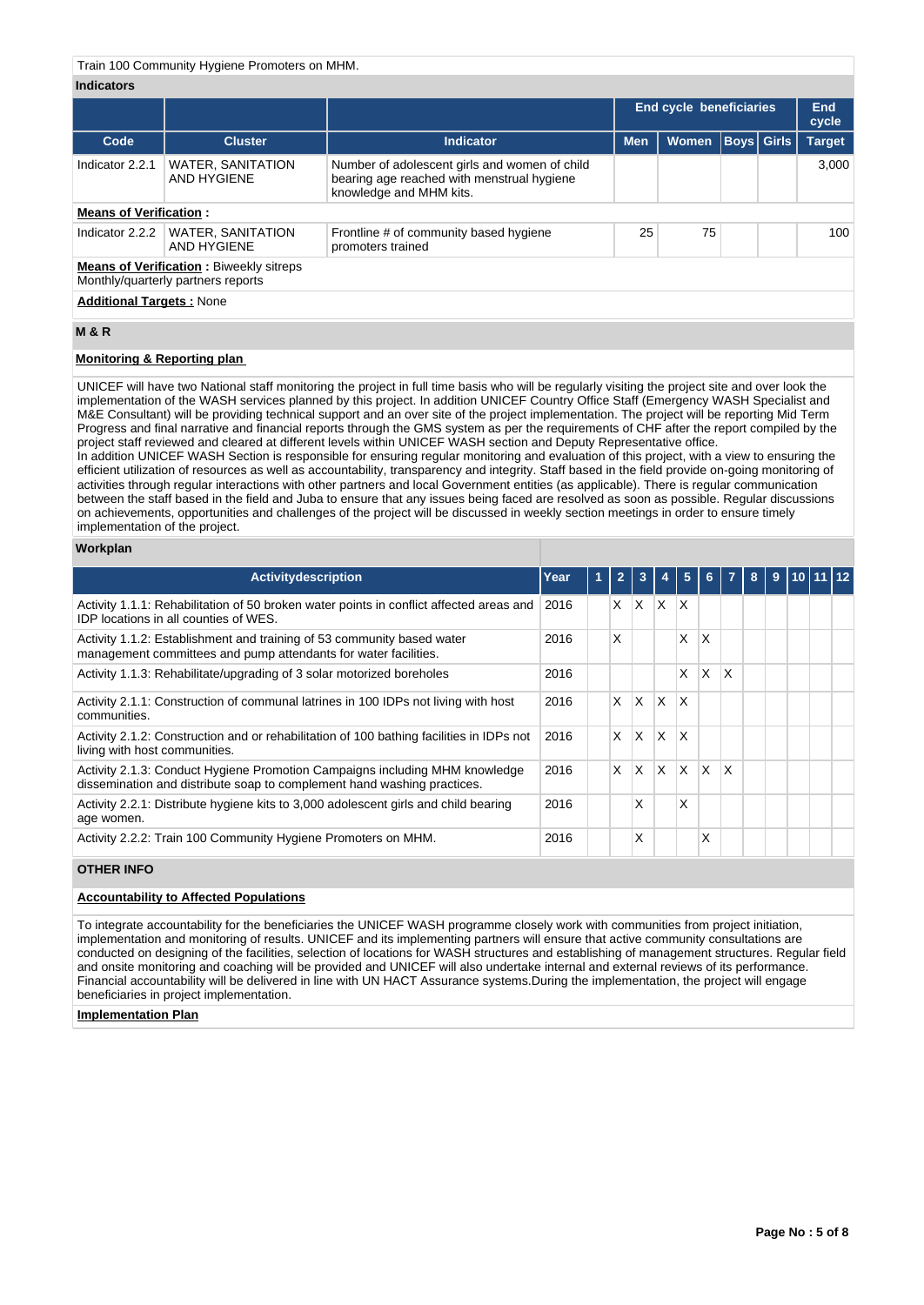## Train 100 Community Hygiene Promoters on MHM.

## **Indicators**

|                                 |                                                                                      |                                                                                                                        |            | <b>End cycle beneficiaries</b> |                   |  | <b>End</b><br>cycle |  |  |  |  |
|---------------------------------|--------------------------------------------------------------------------------------|------------------------------------------------------------------------------------------------------------------------|------------|--------------------------------|-------------------|--|---------------------|--|--|--|--|
| Code                            | <b>Cluster</b>                                                                       | Indicator                                                                                                              | <b>Men</b> | <b>Women</b>                   | <b>Boys Girls</b> |  | <b>Target</b>       |  |  |  |  |
| Indicator 2.2.1                 | <b>WATER, SANITATION</b><br>AND HYGIENE                                              | Number of adolescent girls and women of child<br>bearing age reached with menstrual hygiene<br>knowledge and MHM kits. |            |                                |                   |  | 3.000               |  |  |  |  |
| <b>Means of Verification:</b>   |                                                                                      |                                                                                                                        |            |                                |                   |  |                     |  |  |  |  |
| Indicator 2.2.2                 | <b>WATER, SANITATION</b><br>AND HYGIENE                                              | Frontline # of community based hygiene<br>promoters trained                                                            | 25         | 75                             |                   |  | 100                 |  |  |  |  |
|                                 | <b>Means of Verification: Biweekly sitreps</b><br>Monthly/quarterly partners reports |                                                                                                                        |            |                                |                   |  |                     |  |  |  |  |
| <b>Additional Targets: None</b> |                                                                                      |                                                                                                                        |            |                                |                   |  |                     |  |  |  |  |

# **M & R**

## **Monitoring & Reporting plan**

UNICEF will have two National staff monitoring the project in full time basis who will be regularly visiting the project site and over look the implementation of the WASH services planned by this project. In addition UNICEF Country Office Staff (Emergency WASH Specialist and M&E Consultant) will be providing technical support and an over site of the project implementation. The project will be reporting Mid Term Progress and final narrative and financial reports through the GMS system as per the requirements of CHF after the report compiled by the project staff reviewed and cleared at different levels within UNICEF WASH section and Deputy Representative office. In addition UNICEF WASH Section is responsible for ensuring regular monitoring and evaluation of this project, with a view to ensuring the efficient utilization of resources as well as accountability, transparency and integrity. Staff based in the field provide on-going monitoring of activities through regular interactions with other partners and local Government entities (as applicable). There is regular communication

between the staff based in the field and Juba to ensure that any issues being faced are resolved as soon as possible. Regular discussions on achievements, opportunities and challenges of the project will be discussed in weekly section meetings in order to ensure timely implementation of the project.

## **Workplan**

| <b>Activity description</b>                                                                                                                            | Year | ъ | $\overline{2}$ | 3        |          | 5            | 6.                      | 7                       | 8 | $\overline{9}$ | 110 11 11 12 |  |
|--------------------------------------------------------------------------------------------------------------------------------------------------------|------|---|----------------|----------|----------|--------------|-------------------------|-------------------------|---|----------------|--------------|--|
| Activity 1.1.1: Rehabilitation of 50 broken water points in conflict affected areas and<br>IDP locations in all counties of WES.                       | 2016 |   | X              | X        | X        | X            |                         |                         |   |                |              |  |
| Activity 1.1.2: Establishment and training of 53 community based water<br>management committees and pump attendants for water facilities.              | 2016 |   | X              |          |          | X            | X                       |                         |   |                |              |  |
| Activity 1.1.3: Rehabilitate/upgrading of 3 solar motorized boreholes                                                                                  | 2016 |   |                |          |          | X            | $\overline{\mathsf{x}}$ | X                       |   |                |              |  |
| Activity 2.1.1: Construction of communal latrines in 100 IDPs not living with host<br>communities.                                                     | 2016 |   | $\times$       | X.       | X        | X            |                         |                         |   |                |              |  |
| Activity 2.1.2: Construction and or rehabilitation of 100 bathing facilities in IDPs not<br>living with host communities.                              | 2016 |   | X              | ΙX.      | X        | X            |                         |                         |   |                |              |  |
| Activity 2.1.3: Conduct Hygiene Promotion Campaigns including MHM knowledge<br>dissemination and distribute soap to complement hand washing practices. | 2016 |   | $\times$       | <b>X</b> | $\times$ | <sup>X</sup> | $\mathsf{X}$            | $\mathsf{I} \mathsf{X}$ |   |                |              |  |
| Activity 2.2.1: Distribute hygiene kits to 3,000 adolescent girls and child bearing<br>age women.                                                      | 2016 |   |                | X        |          | Χ            |                         |                         |   |                |              |  |
| Activity 2.2.2: Train 100 Community Hygiene Promoters on MHM.                                                                                          | 2016 |   |                | X        |          |              | Χ                       |                         |   |                |              |  |

## **OTHER INFO**

# **Accountability to Affected Populations**

To integrate accountability for the beneficiaries the UNICEF WASH programme closely work with communities from project initiation, implementation and monitoring of results. UNICEF and its implementing partners will ensure that active community consultations are conducted on designing of the facilities, selection of locations for WASH structures and establishing of management structures. Regular field and onsite monitoring and coaching will be provided and UNICEF will also undertake internal and external reviews of its performance. Financial accountability will be delivered in line with UN HACT Assurance systems.During the implementation, the project will engage beneficiaries in project implementation.

## **Implementation Plan**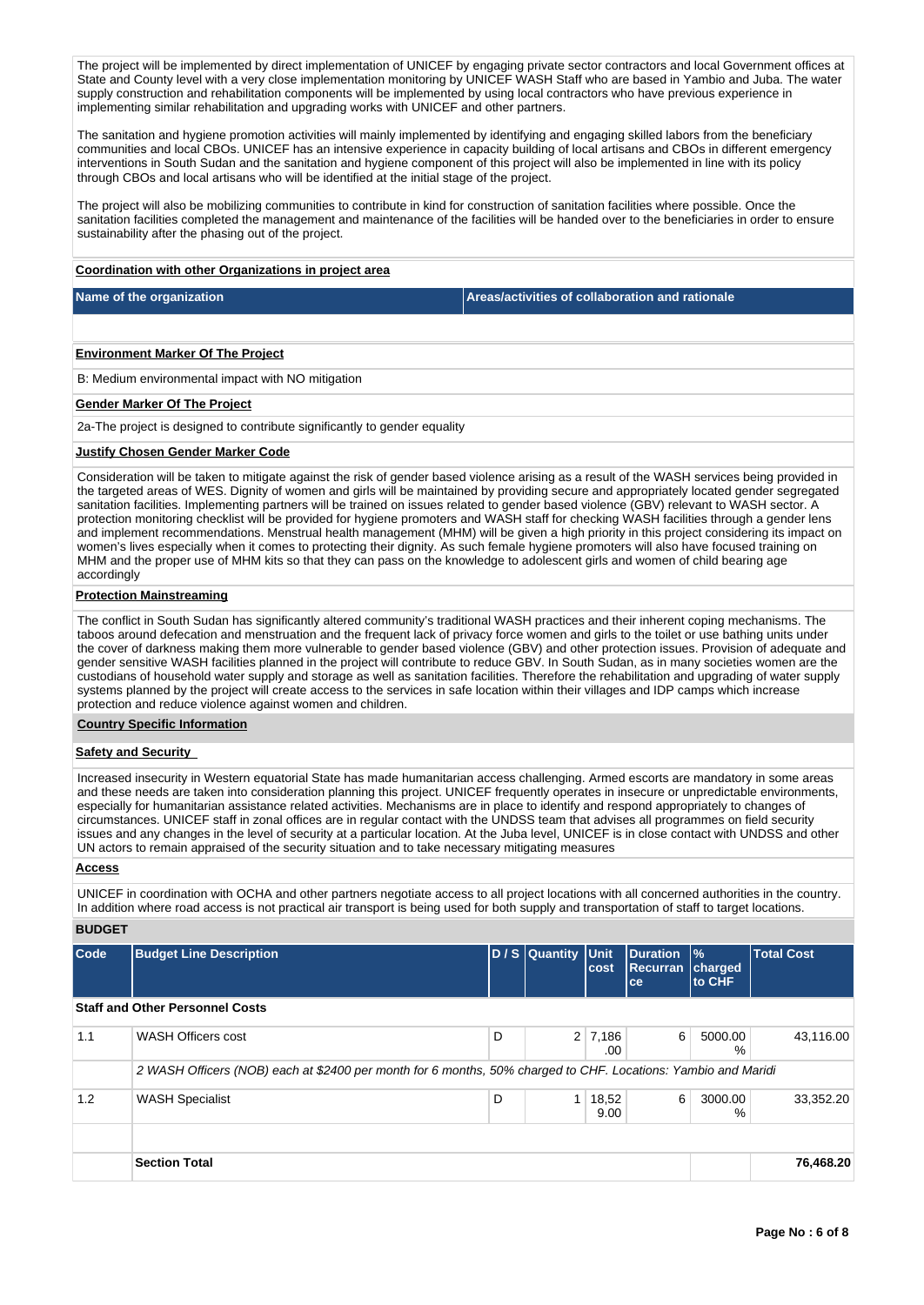The project will be implemented by direct implementation of UNICEF by engaging private sector contractors and local Government offices at State and County level with a very close implementation monitoring by UNICEF WASH Staff who are based in Yambio and Juba. The water supply construction and rehabilitation components will be implemented by using local contractors who have previous experience in implementing similar rehabilitation and upgrading works with UNICEF and other partners.

The sanitation and hygiene promotion activities will mainly implemented by identifying and engaging skilled labors from the beneficiary communities and local CBOs. UNICEF has an intensive experience in capacity building of local artisans and CBOs in different emergency interventions in South Sudan and the sanitation and hygiene component of this project will also be implemented in line with its policy through CBOs and local artisans who will be identified at the initial stage of the project.

The project will also be mobilizing communities to contribute in kind for construction of sanitation facilities where possible. Once the sanitation facilities completed the management and maintenance of the facilities will be handed over to the beneficiaries in order to ensure sustainability after the phasing out of the project.

### **Coordination with other Organizations in project area**

**Name of the organization Areas/activities of collaboration and rationale** 

### **Environment Marker Of The Project**

B: Medium environmental impact with NO mitigation

## **Gender Marker Of The Project**

2a-The project is designed to contribute significantly to gender equality

## **Justify Chosen Gender Marker Code**

Consideration will be taken to mitigate against the risk of gender based violence arising as a result of the WASH services being provided in the targeted areas of WES. Dignity of women and girls will be maintained by providing secure and appropriately located gender segregated sanitation facilities. Implementing partners will be trained on issues related to gender based violence (GBV) relevant to WASH sector. A protection monitoring checklist will be provided for hygiene promoters and WASH staff for checking WASH facilities through a gender lens and implement recommendations. Menstrual health management (MHM) will be given a high priority in this project considering its impact on women's lives especially when it comes to protecting their dignity. As such female hygiene promoters will also have focused training on MHM and the proper use of MHM kits so that they can pass on the knowledge to adolescent girls and women of child bearing age accordingly

## **Protection Mainstreaming**

The conflict in South Sudan has significantly altered community's traditional WASH practices and their inherent coping mechanisms. The taboos around defecation and menstruation and the frequent lack of privacy force women and girls to the toilet or use bathing units under the cover of darkness making them more vulnerable to gender based violence (GBV) and other protection issues. Provision of adequate and gender sensitive WASH facilities planned in the project will contribute to reduce GBV. In South Sudan, as in many societies women are the custodians of household water supply and storage as well as sanitation facilities. Therefore the rehabilitation and upgrading of water supply systems planned by the project will create access to the services in safe location within their villages and IDP camps which increase protection and reduce violence against women and children.

### **Country Specific Information**

## **Safety and Security**

Increased insecurity in Western equatorial State has made humanitarian access challenging. Armed escorts are mandatory in some areas and these needs are taken into consideration planning this project. UNICEF frequently operates in insecure or unpredictable environments, especially for humanitarian assistance related activities. Mechanisms are in place to identify and respond appropriately to changes of circumstances. UNICEF staff in zonal offices are in regular contact with the UNDSS team that advises all programmes on field security issues and any changes in the level of security at a particular location. At the Juba level, UNICEF is in close contact with UNDSS and other UN actors to remain appraised of the security situation and to take necessary mitigating measures

## **Access**

UNICEF in coordination with OCHA and other partners negotiate access to all project locations with all concerned authorities in the country. In addition where road access is not practical air transport is being used for both supply and transportation of staff to target locations.

## **BUDGET**

| Code | <b>Budget Line Description</b>                                                                                |   | D / S Quantity Unit | cost                  | Duration<br><b>Recurran</b><br>ce | $\frac{9}{6}$<br>charged<br>to CHF | <b>Total Cost</b> |
|------|---------------------------------------------------------------------------------------------------------------|---|---------------------|-----------------------|-----------------------------------|------------------------------------|-------------------|
|      | <b>Staff and Other Personnel Costs</b>                                                                        |   |                     |                       |                                   |                                    |                   |
| 1.1  | <b>WASH Officers cost</b>                                                                                     | D |                     | $2 \mid 7,186$<br>.00 | 6                                 | 5000.00<br>%                       | 43,116.00         |
|      | 2 WASH Officers (NOB) each at \$2400 per month for 6 months, 50% charged to CHF. Locations: Yambio and Maridi |   |                     |                       |                                   |                                    |                   |
| 1.2  | <b>WASH Specialist</b>                                                                                        | D |                     | 18,52<br>9.00         | 6                                 | 3000.00<br>%                       | 33,352.20         |
|      |                                                                                                               |   |                     |                       |                                   |                                    |                   |
|      | <b>Section Total</b>                                                                                          |   |                     |                       |                                   |                                    | 76,468.20         |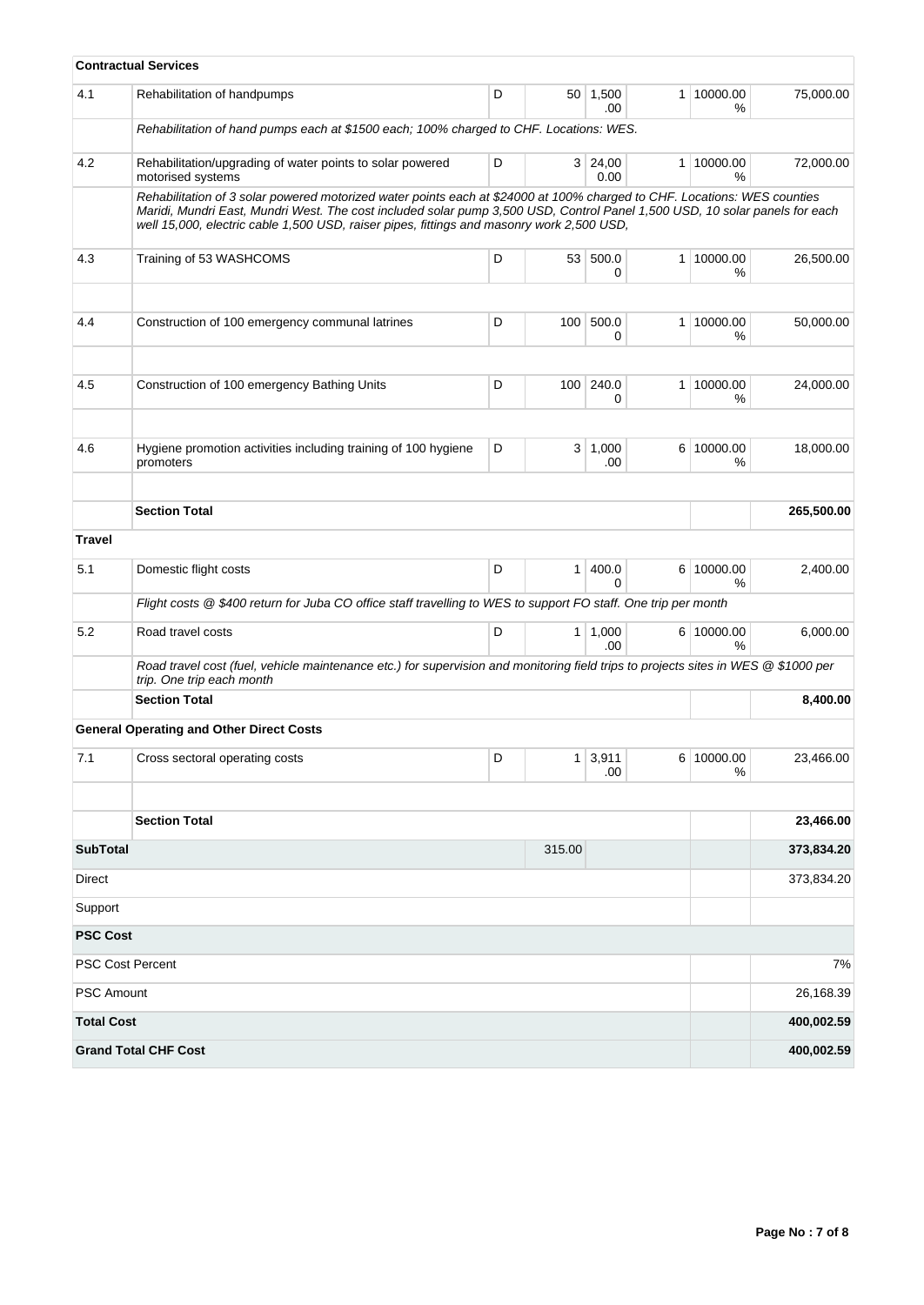|                         | <b>Contractual Services</b>                                                                                                                                                                                                                                                                                                                          |   |                |                  |                |                 |                          |
|-------------------------|------------------------------------------------------------------------------------------------------------------------------------------------------------------------------------------------------------------------------------------------------------------------------------------------------------------------------------------------------|---|----------------|------------------|----------------|-----------------|--------------------------|
| 4.1                     | Rehabilitation of handpumps                                                                                                                                                                                                                                                                                                                          | D |                | 50 1,500<br>.00  | 1 <sup>1</sup> | 10000.00<br>%   | 75,000.00                |
|                         | Rehabilitation of hand pumps each at \$1500 each; 100% charged to CHF. Locations: WES.                                                                                                                                                                                                                                                               |   |                |                  |                |                 |                          |
| 4.2                     | Rehabilitation/upgrading of water points to solar powered<br>motorised systems                                                                                                                                                                                                                                                                       | D |                | 3 24,00<br>0.00  | 1 <sup>1</sup> | 10000.00<br>%   | 72,000.00                |
|                         | Rehabilitation of 3 solar powered motorized water points each at \$24000 at 100% charged to CHF. Locations: WES counties<br>Maridi, Mundri East, Mundri West. The cost included solar pump 3,500 USD, Control Panel 1,500 USD, 10 solar panels for each<br>well 15,000, electric cable 1,500 USD, raiser pipes, fittings and masonry work 2,500 USD, |   |                |                  |                |                 |                          |
| 4.3                     | Training of 53 WASHCOMS                                                                                                                                                                                                                                                                                                                              | D |                | 53 500.0<br>0    | 1 <sup>1</sup> | 10000.00<br>℅   | 26.500.00                |
| 4.4                     | Construction of 100 emergency communal latrines                                                                                                                                                                                                                                                                                                      | D | 100            | 500.0<br>0       | 1 <sup>1</sup> | 10000.00<br>%   | 50,000.00                |
| 4.5                     | Construction of 100 emergency Bathing Units                                                                                                                                                                                                                                                                                                          | D | 100            | 240.0<br>0       | $\mathbf{1}$   | 10000.00<br>%   | 24,000.00                |
| 4.6                     | Hygiene promotion activities including training of 100 hygiene<br>promoters                                                                                                                                                                                                                                                                          | D |                | 3   1,000<br>.00 |                | 6 10000.00<br>% | 18,000.00                |
|                         | <b>Section Total</b>                                                                                                                                                                                                                                                                                                                                 |   |                |                  |                |                 | 265,500.00               |
| <b>Travel</b>           |                                                                                                                                                                                                                                                                                                                                                      |   |                |                  |                |                 |                          |
| 5.1                     | Domestic flight costs                                                                                                                                                                                                                                                                                                                                | D | $\mathbf{1}$   | 400.0<br>0       |                | 6 10000.00<br>% | 2,400.00                 |
|                         | Flight costs @ \$400 return for Juba CO office staff travelling to WES to support FO staff. One trip per month                                                                                                                                                                                                                                       |   |                |                  |                |                 |                          |
| 5.2                     | Road travel costs                                                                                                                                                                                                                                                                                                                                    | D | 1 <sup>1</sup> | 1,000<br>.00     |                | 6 10000.00<br>℅ | 6,000.00                 |
|                         | Road travel cost (fuel, vehicle maintenance etc.) for supervision and monitoring field trips to projects sites in WES @ \$1000 per<br>trip. One trip each month                                                                                                                                                                                      |   |                |                  |                |                 |                          |
|                         | <b>Section Total</b>                                                                                                                                                                                                                                                                                                                                 |   |                |                  |                |                 | 8,400.00                 |
|                         | <b>General Operating and Other Direct Costs</b>                                                                                                                                                                                                                                                                                                      |   |                |                  |                |                 |                          |
| 7.1                     | Cross sectoral operating costs                                                                                                                                                                                                                                                                                                                       | D | 1              | 3,911<br>.00     |                | 6 10000.00<br>% | 23,466.00                |
|                         | <b>Section Total</b>                                                                                                                                                                                                                                                                                                                                 |   |                |                  |                |                 | 23,466.00                |
|                         |                                                                                                                                                                                                                                                                                                                                                      |   |                |                  |                |                 |                          |
| <b>SubTotal</b>         |                                                                                                                                                                                                                                                                                                                                                      |   | 315.00         |                  |                |                 | 373,834.20<br>373,834.20 |
| Direct<br>Support       |                                                                                                                                                                                                                                                                                                                                                      |   |                |                  |                |                 |                          |
| <b>PSC Cost</b>         |                                                                                                                                                                                                                                                                                                                                                      |   |                |                  |                |                 |                          |
| <b>PSC Cost Percent</b> |                                                                                                                                                                                                                                                                                                                                                      |   |                |                  |                |                 | 7%                       |
| <b>PSC Amount</b>       |                                                                                                                                                                                                                                                                                                                                                      |   |                |                  |                |                 | 26,168.39                |
| <b>Total Cost</b>       |                                                                                                                                                                                                                                                                                                                                                      |   |                |                  |                |                 | 400,002.59               |
|                         | <b>Grand Total CHF Cost</b>                                                                                                                                                                                                                                                                                                                          |   |                |                  |                |                 | 400,002.59               |